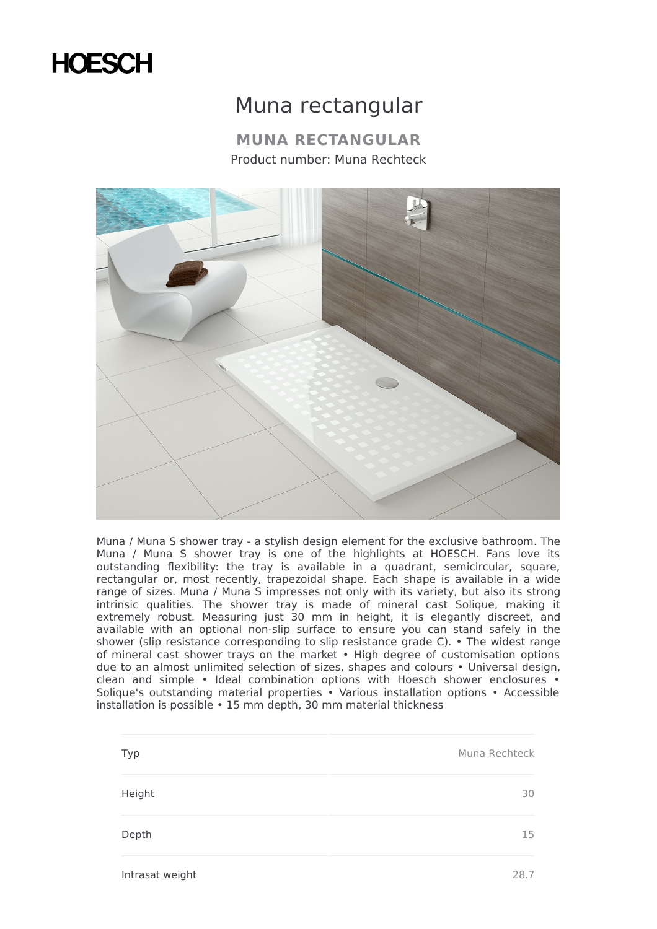## **HOESCH**

## Muna rectangular

**MUNA RECTANGULAR** Product number: Muna Rechteck



Muna / Muna S shower tray - a stylish design element for the exclusive bathroom. The Muna / Muna S shower tray is one of the highlights at HOESCH. Fans love its outstanding flexibility: the tray is available in a quadrant, semicircular, square, rectangular or, most recently, trapezoidal shape. Each shape is available in a wide range of sizes. Muna / Muna S impresses not only with its variety, but also its strong intrinsic qualities. The shower tray is made of mineral cast Solique, making it extremely robust. Measuring just 30 mm in height, it is elegantly discreet, and available with an optional non-slip surface to ensure you can stand safely in the shower (slip resistance corresponding to slip resistance grade C). • The widest range of mineral cast shower trays on the market • High degree of customisation options due to an almost unlimited selection of sizes, shapes and colours • Universal design, clean and simple • Ideal combination options with Hoesch shower enclosures • Solique's outstanding material properties • Various installation options • Accessible installation is possible • 15 mm depth, 30 mm material thickness

| Typ    | Muna Rechteck |
|--------|---------------|
| Height | 30            |
| Depth  | 15            |

Intrasat weight 28.7